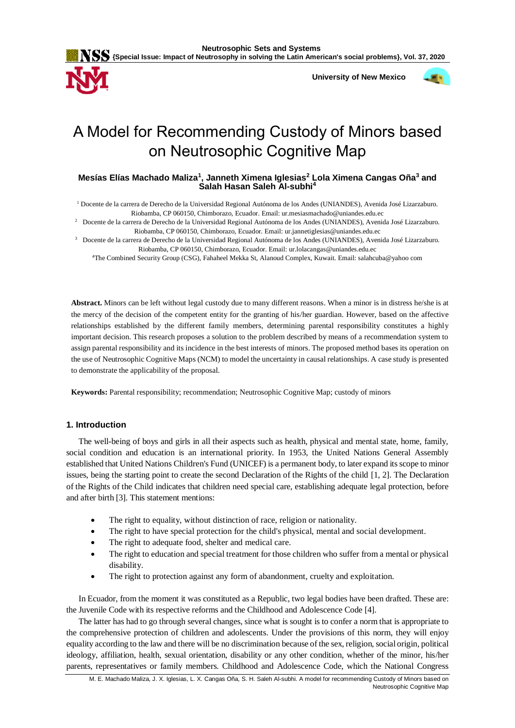

 **University of New Mexico**



# A Model for Recommending Custody of Minors based on Neutrosophic Cognitive Map

# **Mesías Elías Machado Maliza<sup>1</sup> , Janneth Ximena Iglesias<sup>2</sup> Lola Ximena Cangas Oña<sup>3</sup> and Salah Hasan Saleh Al-subhi<sup>4</sup>**

<sup>1</sup> Docente de la carrera de Derecho de la Universidad Regional Autónoma de los Andes (UNIANDES), Avenida José Lizarzaburo. Riobamba, CP 060150, Chimborazo, Ecuador. Email: [ur.mesiasmachado@uniandes.edu.ec](mailto:ur.mesiasmachado@uniandes.edu.ec)

<sup>2</sup> Docente de la carrera de Derecho de la Universidad Regional Autónoma de los Andes (UNIANDES), Avenida José Lizarzaburo. Riobamba, CP 060150, Chimborazo, Ecuador. Email: [ur.jannetiglesias@uniandes.edu.ec](mailto:ur.jannetiglesias@uniandes.edu.ec)

<sup>3</sup> Docente de la carrera de Derecho de la Universidad Regional Autónoma de los Andes (UNIANDES), Avenida José Lizarzaburo. Riobamba, CP 060150, Chimborazo, Ecuador. Email: [ur.lolacangas@uniandes.edu.ec](mailto:ur.lolacangas@uniandes.edu.ec)

<sup>4</sup>The Combined Security Group (CSG), Fahaheel Mekka St, Alanoud Complex, Kuwait. Email: salahcuba@yahoo com

**Abstract.** Minors can be left without legal custody due to many different reasons. When a minor is in distress he/she is at the mercy of the decision of the competent entity for the granting of his/her guardian. However, based on the affective relationships established by the different family members, determining parental responsibility constitutes a highly important decision. This research proposes a solution to the problem described by means of a recommendation system to assign parental responsibility and its incidence in the best interests of minors. The proposed method bases its operation on the use of Neutrosophic Cognitive Maps (NCM) to model the uncertainty in causal relationships. A case study is presented to demonstrate the applicability of the proposal.

**Keywords:** Parental responsibility; recommendation; Neutrosophic Cognitive Map; custody of minors

## **1. Introduction**

The well-being of boys and girls in all their aspects such as health, physical and mental state, home, family, social condition and education is an international priority. In 1953, the United Nations General Assembly established that United Nations Children's Fund (UNICEF) is a permanent body, to later expand its scope to minor issues, being the starting point to create the second Declaration of the Rights of the child [\[1,](#page-8-0) [2\]](#page-8-1). The Declaration of the Rights of the Child indicates that children need special care, establishing adequate legal protection, before and after birth [\[3\]](#page-8-2). This statement mentions:

- The right to equality, without distinction of race, religion or nationality.
- The right to have special protection for the child's physical, mental and social development.
- The right to adequate food, shelter and medical care.
- The right to education and special treatment for those children who suffer from a mental or physical disability.
- The right to protection against any form of abandonment, cruelty and exploitation.

In Ecuador, from the moment it was constituted as a Republic, two legal bodies have been drafted. These are: the Juvenile Code with its respective reforms and the Childhood and Adolescence Code [\[4\]](#page-8-3).

The latter has had to go through several changes, since what is sought is to confer a norm that is appropriate to the comprehensive protection of children and adolescents. Under the provisions of this norm, they will enjoy equality according to the law and there will be no discrimination because of the sex, religion, social origin, political ideology, affiliation, health, sexual orientation, disability or any other condition, whether of the minor, his/her parents, representatives or family members. Childhood and Adolescence Code, which the National Congress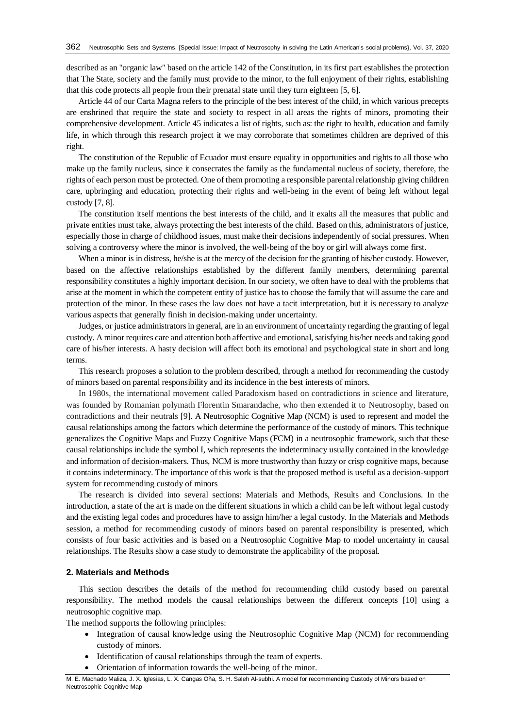described as an "organic law" based on the article 142 of the Constitution, in its first part establishes the protection that The State, society and the family must provide to the minor, to the full enjoyment of their rights, establishing that this code protects all people from their prenatal state until they turn eighteen [\[5,](#page-8-4) [6\]](#page-8-5).

Article 44 of our Carta Magna refers to the principle of the best interest of the child, in which various precepts are enshrined that require the state and society to respect in all areas the rights of minors, promoting their comprehensive development. Article 45 indicates a list of rights, such as: the right to health, education and family life, in which through this research project it we may corroborate that sometimes children are deprived of this right.

The constitution of the Republic of Ecuador must ensure equality in opportunities and rights to all those who make up the family nucleus, since it consecrates the family as the fundamental nucleus of society, therefore, the rights of each person must be protected. One of them promoting a responsible parental relationship giving children care, upbringing and education, protecting their rights and well-being in the event of being left without legal custody [\[7,](#page-8-6) [8\]](#page-8-7).

The constitution itself mentions the best interests of the child, and it exalts all the measures that public and private entities must take, always protecting the best interests of the child. Based on this, administrators of justice, especially those in charge of childhood issues, must make their decisions independently of social pressures. When solving a controversy where the minor is involved, the well-being of the boy or girl will always come first.

When a minor is in distress, he/she is at the mercy of the decision for the granting of his/her custody. However, based on the affective relationships established by the different family members, determining parental responsibility constitutes a highly important decision. In our society, we often have to deal with the problems that arise at the moment in which the competent entity of justice has to choose the family that will assume the care and protection of the minor. In these cases the law does not have a tacit interpretation, but it is necessary to analyze various aspects that generally finish in decision-making under uncertainty.

Judges, or justice administrators in general, are in an environment of uncertainty regarding the granting of legal custody. A minor requires care and attention both affective and emotional, satisfying his/her needs and taking good care of his/her interests. A hasty decision will affect both its emotional and psychological state in short and long terms.

This research proposes a solution to the problem described, through a method for recommending the custody of minors based on parental responsibility and its incidence in the best interests of minors.

In 1980s, the international movement called Paradoxism based on contradictions in science and literature, was founded by Romanian polymath Florentin Smarandache, who then extended it to Neutrosophy, based on contradictions and their neutrals [\[9\]](#page-8-8). A Neutrosophic Cognitive Map (NCM) is used to represent and model the causal relationships among the factors which determine the performance of the custody of minors. This technique generalizes the Cognitive Maps and Fuzzy Cognitive Maps (FCM) in a neutrosophic framework, such that these causal relationships include the symbol I, which represents the indeterminacy usually contained in the knowledge and information of decision-makers. Thus, NCM is more trustworthy than fuzzy or crisp cognitive maps, because it contains indeterminacy. The importance of this work is that the proposed method is useful as a decision-support system for recommending custody of minors

The research is divided into several sections: Materials and Methods, Results and Conclusions. In the introduction, a state of the art is made on the different situations in which a child can be left without legal custody and the existing legal codes and procedures have to assign him/her a legal custody. In the Materials and Methods session, a method for recommending custody of minors based on parental responsibility is presented, which consists of four basic activities and is based on a Neutrosophic Cognitive Map to model uncertainty in causal relationships. The Results show a case study to demonstrate the applicability of the proposal.

## **2. Materials and Methods**

This section describes the details of the method for recommending child custody based on parental responsibility. The method models the causal relationships between the different concepts [\[10\]](#page-8-9) using a neutrosophic cognitive map.

The method supports the following principles:

- Integration of causal knowledge using the Neutrosophic Cognitive Map (NCM) for recommending custody of minors.
- Identification of causal relationships through the team of experts.
- Orientation of information towards the well-being of the minor.

M. E. Machado Maliza, J. X. Iglesias, L. X. Cangas Oña, S. H. Saleh Al-subhi. A model for recommending Custody of Minors based on Neutrosophic Cognitive Map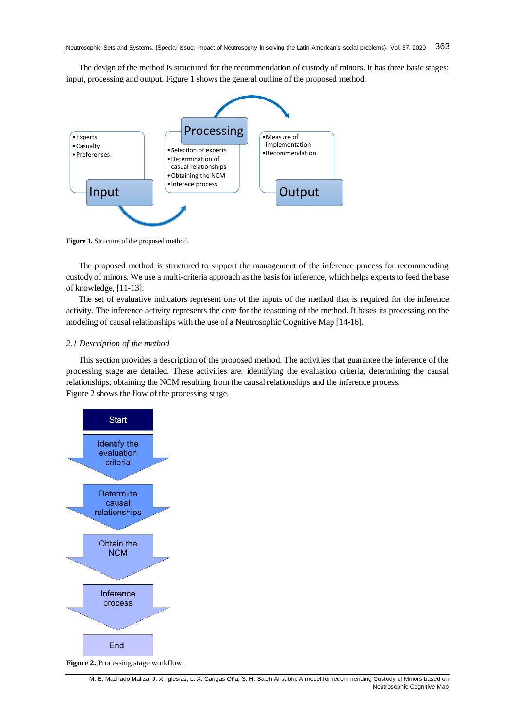The design of the method is structured for the recommendation of custody of minors. It has three basic stages: input, processing and output. Figure 1 shows the general outline of the proposed method.



**Figure 1.** Structure of the proposed method.

The proposed method is structured to support the management of the inference process for recommending custody of minors. We use a multi-criteria approach as the basis for inference, which helps experts to feed the base of knowledge, [\[11-13\]](#page-8-10).

The set of evaluative indicators represent one of the inputs of the method that is required for the inference activity. The inference activity represents the core for the reasoning of the method. It bases its processing on the modeling of causal relationships with the use of a Neutrosophic Cognitive Map [\[14-16\]](#page-8-11).

#### *2.1 Description of the method*

This section provides a description of the proposed method. The activities that guarantee the inference of the processing stage are detailed. These activities are: identifying the evaluation criteria, determining the causal relationships, obtaining the NCM resulting from the causal relationships and the inference process. Figure 2 shows the flow of the processing stage.



**Figure 2.** Processing stage workflow.

M. E. Machado Maliza, J. X. Iglesias, L. X. Cangas Oña, S. H. Saleh Al-subhi. A model for recommending Custody of Minors based on Neutrosophic Cognitive Map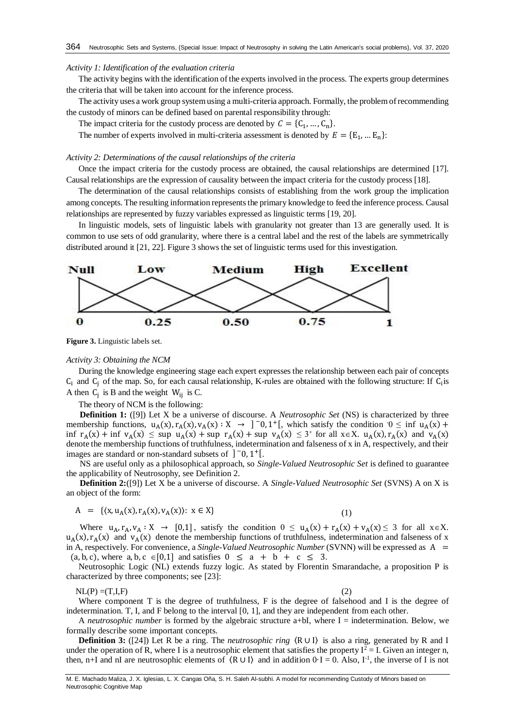#### *Activity 1: Identification of the evaluation criteria*

The activity begins with the identification of the experts involved in the process. The experts group determines the criteria that will be taken into account for the inference process.

The activity uses a work group system using a multi-criteria approach. Formally, the problem of recommending the custody of minors can be defined based on parental responsibility through:

The impact criteria for the custody process are denoted by  $C = \{C_1, ..., C_n\}$ .

The number of experts involved in multi-criteria assessment is denoted by  $E = \{E_1, ... E_n\}$ :

### *Activity 2: Determinations of the causal relationships of the criteria*

Once the impact criteria for the custody process are obtained, the causal relationships are determined [\[17\]](#page-8-12). Causal relationships are the expression of causality between the impact criteria for the custody process [\[18\]](#page-9-0).

The determination of the causal relationships consists of establishing from the work group the implication among concepts. The resulting information represents the primary knowledge to feed the inference process. Causal relationships are represented by fuzzy variables expressed as linguistic terms [\[19,](#page-9-1) [20\]](#page-9-2).

In linguistic models, sets of linguistic labels with granularity not greater than 13 are generally used. It is common to use sets of odd granularity, where there is a central label and the rest of the labels are symmetrically distributed around it [\[21,](#page-9-3) [22\]](#page-9-4). Figure 3 shows the set of linguistic terms used for this investigation.



**Figure 3.** Linguistic labels set.

## *Activity 3: Obtaining the NCM*

During the knowledge engineering stage each expert expresses the relationship between each pair of concepts  $C_i$  and  $C_j$  of the map. So, for each causal relationship, K-rules are obtained with the following structure: If  $C_i$  is A then  $C_j$  is B and the weight  $W_{ij}$  is C.

The theory of NCM is the following:

**Definition 1:** ([\[9\]](#page-8-8)) Let X be a universe of discourse. A *Neutrosophic Set* (NS) is characterized by three membership functions,  $u_A(x), r_A(x), v_A(x) : X \to ]-0,1^+[$ , which satisfy the condition  $0 \le \inf u_A(x) +$ inf  $r_A(x)$  + inf  $v_A(x) \leq \sup u_A(x)$  + sup  $r_A(x)$  + sup  $v_A(x) \leq 3$ <sup>+</sup> for all  $x \in X$ .  $u_A(x)$ ,  $r_A(x)$  and  $v_A(x)$ denote the membership functions of truthfulness, indetermination and falseness of x in A, respectively, and their images are standard or non-standard subsets of  $]$  <sup>-</sup>0, 1<sup>+</sup>[.

NS are useful only as a philosophical approach, so *Single-Valued Neutrosophic Set* is defined to guarantee the applicability of Neutrosophy, see Definition 2.

**Definition 2:**([\[9\]](#page-8-8)) Let X be a universe of discourse. A *Single-Valued Neutrosophic Set* (SVNS) A on X is an object of the form:

$$
A = \{ \langle x, u_A(x), r_A(x), v_A(x) \rangle : x \in X \}
$$
 (1)

Where  $u_A$ ,  $r_A$ ,  $v_A : X \to [0,1]$ , satisfy the condition  $0 \le u_A(x) + r_A(x) + v_A(x) \le 3$  for all  $x \in X$ .  $u_A(x)$ ,  $r_A(x)$  and  $v_A(x)$  denote the membership functions of truthfulness, indetermination and falseness of x in A, respectively. For convenience, a *Single-Valued Neutrosophic Number* (SVNN) will be expressed as A =  $(a, b, c)$ , where a, b,  $c \in [0,1]$  and satisfies  $0 \le a + b + c \le 3$ .

Neutrosophic Logic (NL) extends fuzzy logic. As stated by Florentin Smarandache, a proposition P is characterized by three components; see [\[23\]](#page-9-5):

#### $NL(P) = (T, I, F)$  (2)

Where component T is the degree of truthfulness, F is the degree of falsehood and I is the degree of indetermination. T, I, and F belong to the interval [0, 1], and they are independent from each other.

A *neutrosophic number* is formed by the algebraic structure a+bI, where I = indetermination. Below, we formally describe some important concepts.

**Definition 3:** ([\[24\]](#page-9-6)) Let R be a ring. The *neutrosophic ring* 〈R ∪ I〉 is also a ring, generated by R and I under the operation of R, where I is a neutrosophic element that satisfies the property  $I^2 = I$ . Given an integer n, then, n+I and nI are neutrosophic elements of  $(R \cup I)$  and in addition  $0-I = 0$ . Also, I<sup>-1</sup>, the inverse of I is not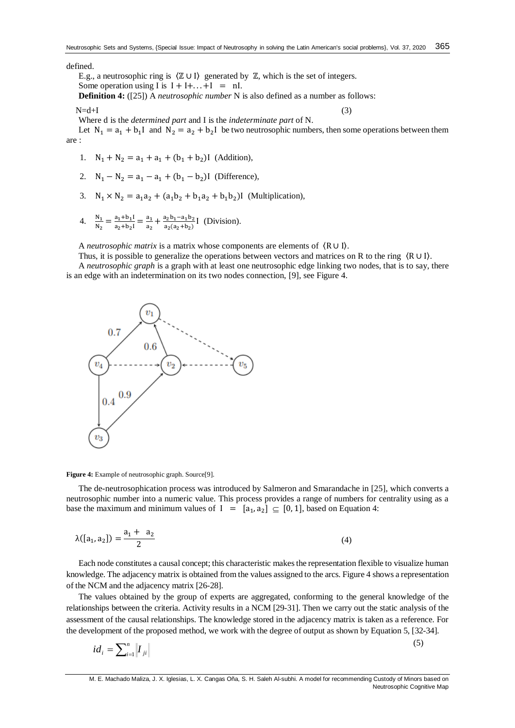## defined.

E.g., a neutrosophic ring is  $(\mathbb{Z} \cup I)$  generated by  $\mathbb{Z}$ , which is the set of integers.

Some operation using I is  $I + I + ... + I = nI$ .

**Definition 4:** ([\[25\]](#page-9-7)) A *neutrosophic number* N is also defined as a number as follows:

#### $N=d+I$  (3)

Where d is the *determined part* and I is the *indeterminate part* of N.

Let  $N_1 = a_1 + b_1 I$  and  $N_2 = a_2 + b_2 I$  be two neutrosophic numbers, then some operations between them are :

- 1.  $N_1 + N_2 = a_1 + a_1 + (b_1 + b_2)$  (Addition),
- 2.  $N_1 N_2 = a_1 a_1 + (b_1 b_2)$  (Difference),
- 3.  $N_1 \times N_2 = a_1 a_2 + (a_1 b_2 + b_1 a_2 + b_1 b_2)$  (Multiplication),
- 4.  $\frac{N_1}{N_2} = \frac{a_1 + b_1 I}{a_2 + b_2 I}$  $\frac{a_1+b_1I}{a_2+b_2I} = \frac{a_1}{a_2}$  $\frac{a_1}{a_2} + \frac{a_2b_1 - a_1b_2}{a_2(a_2+b_2)}$  $rac{a_2b_1-a_1b_2}{a_2(a_2+b_2)}$  [ (Division).

A *neutrosophic matrix* is a matrix whose components are elements of 〈R ∪ I〉.

Thus, it is possible to generalize the operations between vectors and matrices on R to the ring 〈R ∪ I〉. A *neutrosophic graph* is a graph with at least one neutrosophic edge linking two nodes, that is to say, there is an edge with an indetermination on its two nodes connection, [\[9\]](#page-8-8), see Figure 4.



**Figure 4:** Example of neutrosophic graph. Source[\[9\]](#page-8-8).

The de-neutrosophication process was introduced by Salmeron and Smarandache in [\[25\]](#page-9-7), which converts a neutrosophic number into a numeric value. This process provides a range of numbers for centrality using as a base the maximum and minimum values of  $I = [a_1, a_2] \subseteq [0,1]$ , based on Equation 4:

$$
\lambda([a_1, a_2]) = \frac{a_1 + a_2}{2} \tag{4}
$$

Each node constitutes a causal concept; this characteristic makes the representation flexible to visualize human knowledge. The adjacency matrix is obtained from the values assigned to the arcs. Figure 4 shows a representation of the NCM and the adjacency matrix [\[26-28\]](#page-9-8).

The values obtained by the group of experts are aggregated, conforming to the general knowledge of the relationships between the criteria. Activity results in a NCM [\[29-31\]](#page-9-9). Then we carry out the static analysis of the assessment of the causal relationships. The knowledge stored in the adjacency matrix is taken as a reference. For the development of the proposed method, we work with the degree of output as shown by Equation 5, [\[32-34\]](#page-9-10).

$$
id_i = \sum_{i=1}^n \left| I_{ji} \right| \tag{5}
$$

M. E. Machado Maliza, J. X. Iglesias, L. X. Cangas Oña, S. H. Saleh Al-subhi. A model for recommending Custody of Minors based on Neutrosophic Cognitive Map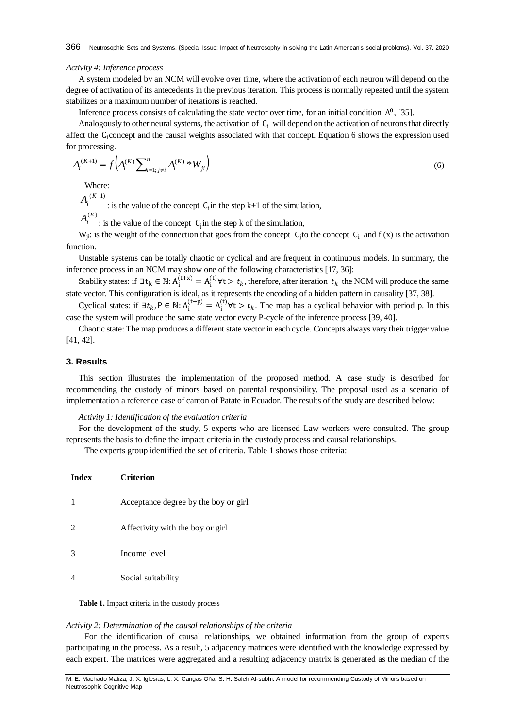#### *Activity 4: Inference process*

A system modeled by an NCM will evolve over time, where the activation of each neuron will depend on the degree of activation of its antecedents in the previous iteration. This process is normally repeated until the system stabilizes or a maximum number of iterations is reached.

Inference process consists of calculating the state vector over time, for an initial condition  $A^0$ , [\[35\]](#page-9-11).

Analogously to other neural systems, the activation of  $C_i$  will depend on the activation of neurons that directly affect the Ciconcept and the causal weights associated with that concept. Equation 6 shows the expression used for processing.

$$
A_i^{(K+1)} = f\left(A_i^{(K)}\sum_{i=1; j\neq i}^{n} A_i^{(K)} * W_{ji}\right)
$$
\n(6)

Where:

 $A_i^{(K+1)}$ 

: is the value of the concept  $C_i$  in the step  $k+1$  of the simulation,

 $A_i^{(K)}$ : is the value of the concept  $C_j$  in the step k of the simulation,

 $W_{ji}$ : is the weight of the connection that goes from the concept  $C_j$  to the concept  $C_i$  and  $f(x)$  is the activation function.

Unstable systems can be totally chaotic or cyclical and are frequent in continuous models. In summary, the inference process in an NCM may show one of the following characteristics [\[17,](#page-8-12) [36\]](#page-9-12):

Stability states: if  $\exists t_k \in \mathbb{N} : A_i^{(t+x)} = A_i^{(t)} \forall t > t_k$ , therefore, after iteration  $t_k$  the NCM will produce the same state vector. This configuration is ideal, as it represents the encoding of a hidden pattern in causality [\[37,](#page-9-13) [38\]](#page-9-14).

Cyclical states: if  $\exists t_k$ ,  $P \in \mathbb{N}$ :  $A_i^{(t+p)} = A_i^{(t)} \forall t > t_k$ . The map has a cyclical behavior with period p. In this case the system will produce the same state vector every P-cycle of the inference process [\[39,](#page-9-15) [40\]](#page-9-16).

Chaotic state: The map produces a different state vector in each cycle. Concepts always vary their trigger value [\[41,](#page-10-0) [42\]](#page-10-1).

#### **3. Results**

This section illustrates the implementation of the proposed method. A case study is described for recommending the custody of minors based on parental responsibility. The proposal used as a scenario of implementation a reference case of canton of Patate in Ecuador. The results of the study are described below:

*Activity 1: Identification of the evaluation criteria*

For the development of the study, 5 experts who are licensed Law workers were consulted. The group represents the basis to define the impact criteria in the custody process and causal relationships.

The experts group identified the set of criteria. Table 1 shows those criteria:

| <b>Index</b>                | <b>Criterion</b>                     |
|-----------------------------|--------------------------------------|
|                             | Acceptance degree by the boy or girl |
| $\mathcal{D}_{\mathcal{A}}$ | Affectivity with the boy or girl     |
| 3                           | Income level                         |
| 4                           | Social suitability                   |

**Table 1.** Impact criteria in the custody process

#### *Activity 2: Determination of the causal relationships of the criteria*

For the identification of causal relationships, we obtained information from the group of experts participating in the process. As a result, 5 adjacency matrices were identified with the knowledge expressed by each expert. The matrices were aggregated and a resulting adjacency matrix is generated as the median of the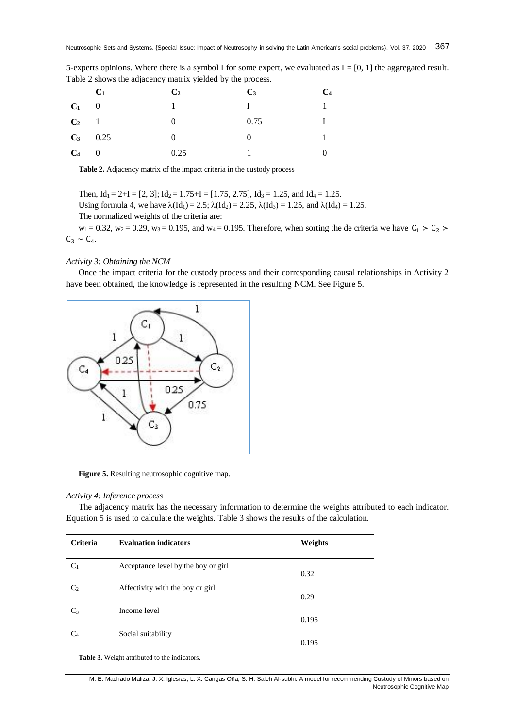|            | C <sub>1</sub> | C <sub>2</sub> | $C_3$    | C <sub>4</sub> |
|------------|----------------|----------------|----------|----------------|
| $C_1$ 0    |                |                |          |                |
| $C_2$ 1    |                | $\theta$       | 0.75     |                |
| $C_3$ 0.25 |                | $\theta$       | $\theta$ |                |
| $C_4$ 0    |                | 0.25           |          |                |

5-experts opinions. Where there is a symbol I for some expert, we evaluated as  $I = [0, 1]$  the aggregated result. Table 2 shows the adjacency matrix yielded by the process.

**Table 2.** Adjacency matrix of the impact criteria in the custody process

Then,  $Id_1 = 2+I = [2, 3]$ ;  $Id_2 = 1.75+I = [1.75, 2.75]$ ,  $Id_3 = 1.25$ , and  $Id_4 = 1.25$ .

Using formula 4, we have  $\lambda(\text{Id}_1) = 2.5$ ;  $\lambda(\text{Id}_2) = 2.25$ ,  $\lambda(\text{Id}_3) = 1.25$ , and  $\lambda(\text{Id}_4) = 1.25$ . The normalized weights of the criteria are:

 $w_1 = 0.32$ ,  $w_2 = 0.29$ ,  $w_3 = 0.195$ , and  $w_4 = 0.195$ . Therefore, when sorting the de criteria we have  $C_1 > C_2$  $C_3 \sim C_4$ .

## *Activity 3: Obtaining the NCM*

Once the impact criteria for the custody process and their corresponding causal relationships in Activity 2 have been obtained, the knowledge is represented in the resulting NCM. See Figure 5.



**Figure 5.** Resulting neutrosophic cognitive map.

# *Activity 4: Inference process*

The adjacency matrix has the necessary information to determine the weights attributed to each indicator. Equation 5 is used to calculate the weights. Table 3 shows the results of the calculation.

| <b>Criteria</b> | <b>Evaluation indicators</b>        | Weights |
|-----------------|-------------------------------------|---------|
| C <sub>1</sub>  | Acceptance level by the boy or girl | 0.32    |
| C <sub>2</sub>  | Affectivity with the boy or girl    | 0.29    |
| $C_3$           | Income level                        | 0.195   |
| C <sub>4</sub>  | Social suitability                  | 0.195   |

**Table 3.** Weight attributed to the indicators.

M. E. Machado Maliza, J. X. Iglesias, L. X. Cangas Oña, S. H. Saleh Al-subhi. A model for recommending Custody of Minors based on Neutrosophic Cognitive Map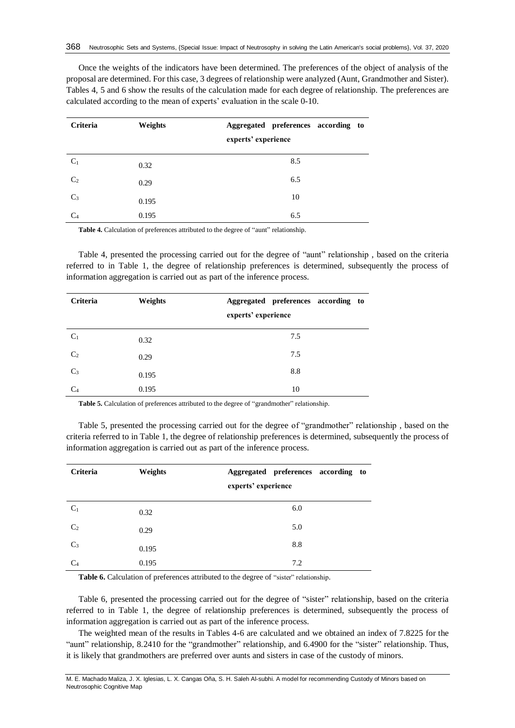Once the weights of the indicators have been determined. The preferences of the object of analysis of the proposal are determined. For this case, 3 degrees of relationship were analyzed (Aunt, Grandmother and Sister). Tables 4, 5 and 6 show the results of the calculation made for each degree of relationship. The preferences are calculated according to the mean of experts' evaluation in the scale 0-10.

| Criteria       | Weights | Aggregated preferences according to |
|----------------|---------|-------------------------------------|
|                |         | experts' experience                 |
| C <sub>1</sub> | 0.32    | 8.5                                 |
| C <sub>2</sub> | 0.29    | 6.5                                 |
| $C_3$          | 0.195   | 10                                  |
| $C_4$          | 0.195   | 6.5                                 |

**Table 4.** Calculation of preferences attributed to the degree of "aunt" relationship.

Table 4, presented the processing carried out for the degree of "aunt" relationship , based on the criteria referred to in Table 1, the degree of relationship preferences is determined, subsequently the process of information aggregation is carried out as part of the inference process.

| Criteria       | Weights |                     | Aggregated preferences according to |
|----------------|---------|---------------------|-------------------------------------|
|                |         | experts' experience |                                     |
| $C_1$          | 0.32    |                     | 7.5                                 |
| C <sub>2</sub> | 0.29    |                     | 7.5                                 |
| $C_3$          | 0.195   |                     | 8.8                                 |
| $C_4$          | 0.195   |                     | 10                                  |

**Table 5.** Calculation of preferences attributed to the degree of "grandmother" relationship.

Table 5, presented the processing carried out for the degree of "grandmother" relationship , based on the criteria referred to in Table 1, the degree of relationship preferences is determined, subsequently the process of information aggregation is carried out as part of the inference process.

| Criteria       | Weights | Aggregated preferences according to |
|----------------|---------|-------------------------------------|
|                |         | experts' experience                 |
| $C_1$          | 0.32    | 6.0                                 |
| C <sub>2</sub> | 0.29    | 5.0                                 |
| $C_3$          | 0.195   | 8.8                                 |
| C <sub>4</sub> | 0.195   | 7.2                                 |

Table 6. Calculation of preferences attributed to the degree of "sister" relationship.

Table 6, presented the processing carried out for the degree of "sister" relationship, based on the criteria referred to in Table 1, the degree of relationship preferences is determined, subsequently the process of information aggregation is carried out as part of the inference process.

The weighted mean of the results in Tables 4-6 are calculated and we obtained an index of 7.8225 for the "aunt" relationship, 8.2410 for the "grandmother" relationship, and 6.4900 for the "sister" relationship. Thus, it is likely that grandmothers are preferred over aunts and sisters in case of the custody of minors.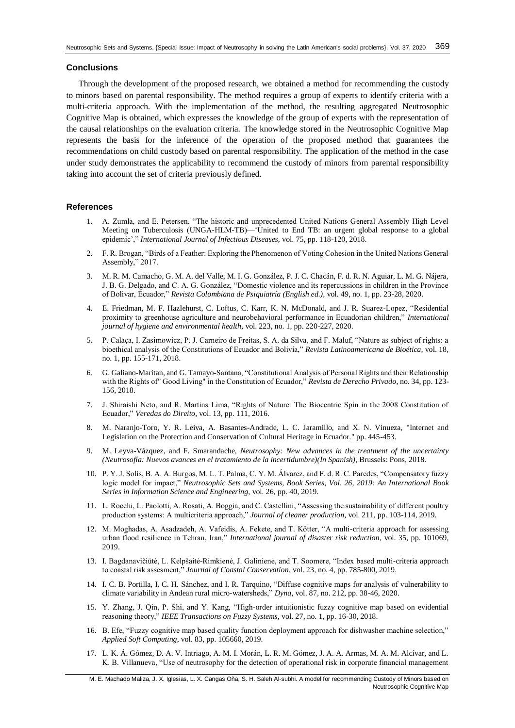## **Conclusions**

Through the development of the proposed research, we obtained a method for recommending the custody to minors based on parental responsibility. The method requires a group of experts to identify criteria with a multi-criteria approach. With the implementation of the method, the resulting aggregated Neutrosophic Cognitive Map is obtained, which expresses the knowledge of the group of experts with the representation of the causal relationships on the evaluation criteria. The knowledge stored in the Neutrosophic Cognitive Map represents the basis for the inference of the operation of the proposed method that guarantees the recommendations on child custody based on parental responsibility. The application of the method in the case under study demonstrates the applicability to recommend the custody of minors from parental responsibility taking into account the set of criteria previously defined.

## **References**

- <span id="page-8-0"></span>1. A. Zumla, and E. Petersen, "The historic and unprecedented United Nations General Assembly High Level Meeting on Tuberculosis (UNGA-HLM-TB)—'United to End TB: an urgent global response to a global epidemic'," *International Journal of Infectious Diseases,* vol. 75, pp. 118-120, 2018.
- <span id="page-8-1"></span>2. F. R. Brogan, "Birds of a Feather: Exploring the Phenomenon of Voting Cohesion in the United Nations General Assembly," 2017.
- <span id="page-8-2"></span>3. M. R. M. Camacho, G. M. A. del Valle, M. I. G. González, P. J. C. Chacán, F. d. R. N. Aguiar, L. M. G. Nájera, J. B. G. Delgado, and C. A. G. González, "Domestic violence and its repercussions in children in the Province of Bolivar, Ecuador," *Revista Colombiana de Psiquiatría (English ed.),* vol. 49, no. 1, pp. 23-28, 2020.
- <span id="page-8-3"></span>4. E. Friedman, M. F. Hazlehurst, C. Loftus, C. Karr, K. N. McDonald, and J. R. Suarez-Lopez, "Residential proximity to greenhouse agriculture and neurobehavioral performance in Ecuadorian children," *International journal of hygiene and environmental health,* vol. 223, no. 1, pp. 220-227, 2020.
- <span id="page-8-4"></span>5. P. Calaça, I. Zasimowicz, P. J. Carneiro de Freitas, S. A. da Silva, and F. Maluf, "Nature as subject of rights: a bioethical analysis of the Constitutions of Ecuador and Bolivia," *Revista Latinoamericana de Bioética,* vol. 18, no. 1, pp. 155-171, 2018.
- <span id="page-8-5"></span>6. G. Galiano-Maritan, and G. Tamayo-Santana, "Constitutional Analysis of Personal Rights and their Relationship with the Rights of" Good Living" in the Constitution of Ecuador," *Revista de Derecho Privado*, no. 34, pp. 123- 156, 2018.
- <span id="page-8-6"></span>7. J. Shiraishi Neto, and R. Martins Lima, "Rights of Nature: The Biocentric Spin in the 2008 Constitution of Ecuador," *Veredas do Direito,* vol. 13, pp. 111, 2016.
- <span id="page-8-7"></span>8. M. Naranjo-Toro, Y. R. Leiva, A. Basantes-Andrade, L. C. Jaramillo, and X. N. Vinueza, "Internet and Legislation on the Protection and Conservation of Cultural Heritage in Ecuador." pp. 445-453.
- <span id="page-8-8"></span>9. M. Leyva-Vázquez, and F. Smarandache, *Neutrosophy: New advances in the treatment of the uncertainty (Neutrosofía: Nuevos avances en el tratamiento de la incertidumbre)(In Spanish)*, Brussels: Pons, 2018.
- <span id="page-8-9"></span>10. P. Y. J. Solís, B. A. A. Burgos, M. L. T. Palma, C. Y. M. Álvarez, and F. d. R. C. Paredes, "Compensatory fuzzy logic model for impact," *Neutrosophic Sets and Systems, Book Series, Vol. 26, 2019: An International Book Series in Information Science and Engineering,* vol. 26, pp. 40, 2019.
- <span id="page-8-10"></span>11. L. Rocchi, L. Paolotti, A. Rosati, A. Boggia, and C. Castellini, "Assessing the sustainability of different poultry production systems: A multicriteria approach," *Journal of cleaner production,* vol. 211, pp. 103-114, 2019.
- 12. M. Moghadas, A. Asadzadeh, A. Vafeidis, A. Fekete, and T. Kötter, "A multi-criteria approach for assessing urban flood resilience in Tehran, Iran," *International journal of disaster risk reduction,* vol. 35, pp. 101069, 2019.
- 13. I. Bagdanavičiūtė, L. Kelpšaitė-Rimkienė, J. Galinienė, and T. Soomere, "Index based multi-criteria approach to coastal risk assesment," *Journal of Coastal Conservation,* vol. 23, no. 4, pp. 785-800, 2019.
- <span id="page-8-11"></span>14. I. C. B. Portilla, I. C. H. Sánchez, and I. R. Tarquino, "Diffuse cognitive maps for analysis of vulnerability to climate variability in Andean rural micro-watersheds," *Dyna,* vol. 87, no. 212, pp. 38-46, 2020.
- 15. Y. Zhang, J. Qin, P. Shi, and Y. Kang, "High-order intuitionistic fuzzy cognitive map based on evidential reasoning theory," *IEEE Transactions on Fuzzy Systems,* vol. 27, no. 1, pp. 16-30, 2018.
- 16. B. Efe, "Fuzzy cognitive map based quality function deployment approach for dishwasher machine selection," *Applied Soft Computing,* vol. 83, pp. 105660, 2019.
- <span id="page-8-12"></span>17. L. K. Á. Gómez, D. A. V. Intriago, A. M. I. Morán, L. R. M. Gómez, J. A. A. Armas, M. A. M. Alcívar, and L. K. B. Villanueva, "Use of neutrosophy for the detection of operational risk in corporate financial management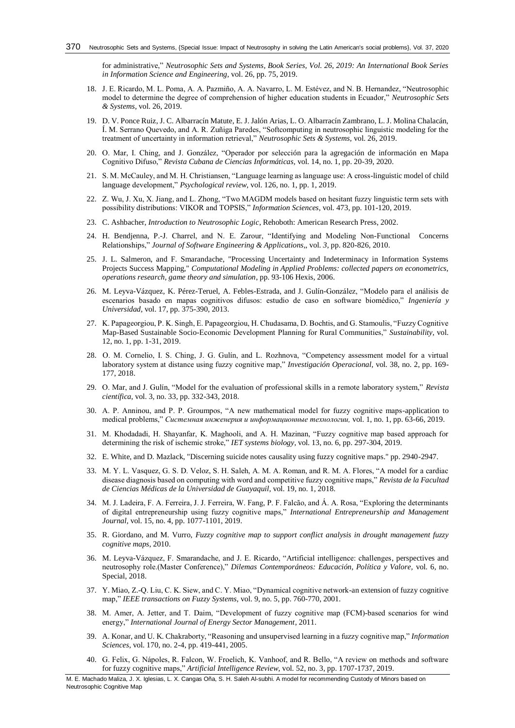for administrative," *Neutrosophic Sets and Systems, Book Series, Vol. 26, 2019: An International Book Series in Information Science and Engineering,* vol. 26, pp. 75, 2019.

- <span id="page-9-0"></span>18. J. E. Ricardo, M. L. Poma, A. A. Pazmiño, A. A. Navarro, L. M. Estévez, and N. B. Hernandez, "Neutrosophic model to determine the degree of comprehension of higher education students in Ecuador," *Neutrosophic Sets & Systems,* vol. 26, 2019.
- <span id="page-9-1"></span>19. D. V. Ponce Ruiz, J. C. Albarracín Matute, E. J. Jalón Arias, L. O. Albarracín Zambrano, L. J. Molina Chalacán, Í. M. Serrano Quevedo, and A. R. Zuñiga Paredes, "Softcomputing in neutrosophic linguistic modeling for the treatment of uncertainty in information retrieval," *Neutrosophic Sets & Systems,* vol. 26, 2019.
- <span id="page-9-2"></span>20. O. Mar, I. Ching, and J. González, "Operador por selección para la agregación de información en Mapa Cognitivo Difuso," *Revista Cubana de Ciencias Informáticas,* vol. 14, no. 1, pp. 20-39, 2020.
- <span id="page-9-3"></span>21. S. M. McCauley, and M. H. Christiansen, "Language learning as language use: A cross-linguistic model of child language development," *Psychological review,* vol. 126, no. 1, pp. 1, 2019.
- <span id="page-9-4"></span>22. Z. Wu, J. Xu, X. Jiang, and L. Zhong, "Two MAGDM models based on hesitant fuzzy linguistic term sets with possibility distributions: VIKOR and TOPSIS," *Information Sciences,* vol. 473, pp. 101-120, 2019.
- <span id="page-9-5"></span>23. C. Ashbacher, *Introduction to Neutrosophic Logic*, Rehoboth: American Research Press, 2002.
- <span id="page-9-6"></span>24. H. Bendjenna, P.-J. Charrel, and N. E. Zarour, "Identifying and Modeling Non-Functional Concerns Relationships," *Journal of Software Engineering & Applications,,* vol. *3*, pp. 820-826, 2010.
- <span id="page-9-7"></span>25. J. L. Salmeron, and F. Smarandache, "Processing Uncertainty and Indeterminacy in Information Systems Projects Success Mapping," *Computational Modeling in Applied Problems: collected papers on econometrics, operations research, game theory and simulation*, pp. 93-106 Hexis, 2006.
- <span id="page-9-8"></span>26. M. Leyva-Vázquez, K. Pérez-Teruel, A. Febles-Estrada, and J. Gulín-González, "Modelo para el análisis de escenarios basado en mapas cognitivos difusos: estudio de caso en software biomédico," *Ingeniería y Universidad,* vol. 17, pp. 375-390, 2013.
- 27. K. Papageorgiou, P. K. Singh, E. Papageorgiou, H. Chudasama, D. Bochtis, and G. Stamoulis, "Fuzzy Cognitive Map-Based Sustainable Socio-Economic Development Planning for Rural Communities," *Sustainability,* vol. 12, no. 1, pp. 1-31, 2019.
- 28. O. M. Cornelio, I. S. Ching, J. G. Gulín, and L. Rozhnova, "Competency assessment model for a virtual laboratory system at distance using fuzzy cognitive map," *Investigación Operacional,* vol. 38, no. 2, pp. 169- 177, 2018.
- <span id="page-9-9"></span>29. O. Mar, and J. Gulín, "Model for the evaluation of professional skills in a remote laboratory system," *Revista científica,* vol. 3, no. 33, pp. 332-343, 2018.
- 30. A. P. Anninou, and P. P. Groumpos, "A new mathematical model for fuzzy cognitive maps-application to medical problems," *Системная инженерия и информационные технологии,* vol. 1, no. 1, pp. 63-66, 2019.
- 31. M. Khodadadi, H. Shayanfar, K. Maghooli, and A. H. Mazinan, "Fuzzy cognitive map based approach for determining the risk of ischemic stroke," *IET systems biology,* vol. 13, no. 6, pp. 297-304, 2019.
- <span id="page-9-10"></span>32. E. White, and D. Mazlack, "Discerning suicide notes causality using fuzzy cognitive maps." pp. 2940-2947.
- 33. M. Y. L. Vasquez, G. S. D. Veloz, S. H. Saleh, A. M. A. Roman, and R. M. A. Flores, "A model for a cardiac disease diagnosis based on computing with word and competitive fuzzy cognitive maps," *Revista de la Facultad de Ciencias Médicas de la Universidad de Guayaquil,* vol. 19, no. 1, 2018.
- 34. M. J. Ladeira, F. A. Ferreira, J. J. Ferreira, W. Fang, P. F. Falcão, and Á. A. Rosa, "Exploring the determinants of digital entrepreneurship using fuzzy cognitive maps," *International Entrepreneurship and Management Journal,* vol. 15, no. 4, pp. 1077-1101, 2019.
- <span id="page-9-11"></span>35. R. Giordano, and M. Vurro, *Fuzzy cognitive map to support conflict analysis in drought management fuzzy cognitive maps*, 2010.
- <span id="page-9-12"></span>36. M. Leyva-Vázquez, F. Smarandache, and J. E. Ricardo, "Artificial intelligence: challenges, perspectives and neutrosophy role.(Master Conference)," *Dilemas Contemporáneos: Educación, Política y Valore,* vol. 6, no. Special, 2018.
- <span id="page-9-13"></span>37. Y. Miao, Z.-Q. Liu, C. K. Siew, and C. Y. Miao, "Dynamical cognitive network-an extension of fuzzy cognitive map," *IEEE transactions on Fuzzy Systems,* vol. 9, no. 5, pp. 760-770, 2001.
- <span id="page-9-14"></span>38. M. Amer, A. Jetter, and T. Daim, "Development of fuzzy cognitive map (FCM)‐based scenarios for wind energy," *International Journal of Energy Sector Management*, 2011.
- <span id="page-9-15"></span>39. A. Konar, and U. K. Chakraborty, "Reasoning and unsupervised learning in a fuzzy cognitive map," *Information Sciences,* vol. 170, no. 2-4, pp. 419-441, 2005.
- <span id="page-9-16"></span>40. G. Felix, G. Nápoles, R. Falcon, W. Froelich, K. Vanhoof, and R. Bello, "A review on methods and software for fuzzy cognitive maps," *Artificial Intelligence Review,* vol. 52, no. 3, pp. 1707-1737, 2019.

M. E. Machado Maliza, J. X. Iglesias, L. X. Cangas Oña, S. H. Saleh Al-subhi. A model for recommending Custody of Minors based on Neutrosophic Cognitive Map